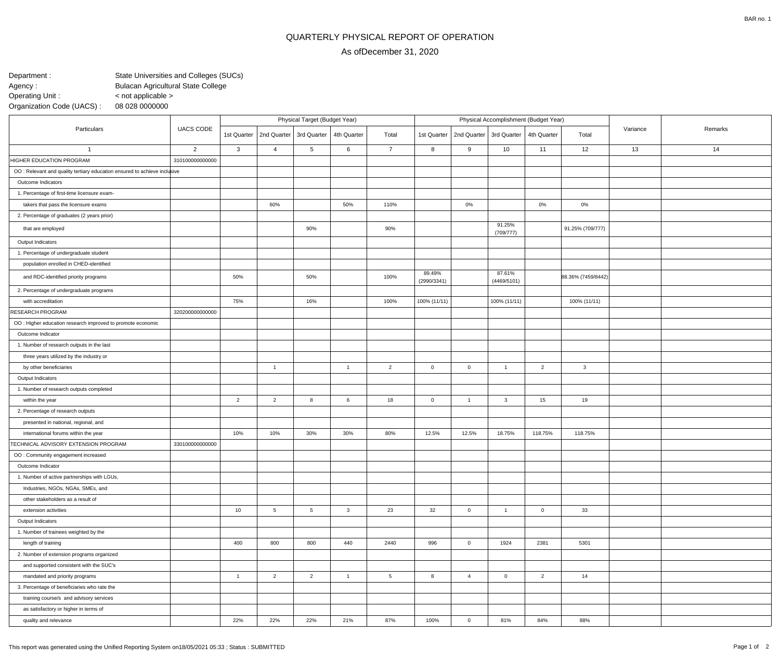## QUARTERLY PHYSICAL REPORT OF OPERATION

## As ofDecember 31, 2020

State Universities and Colleges (SUCs)Bulacan Agricultural State College08 028 0000000 < not applicable >Department :Agency : Operating Unit :Organization Code (UACS) :

| Particulars                                                               | <b>UACS CODE</b> | Physical Target (Budget Year) |                                         |                |                |                 | Physical Accomplishment (Budget Year) |                |                           |                |                    |          |         |
|---------------------------------------------------------------------------|------------------|-------------------------------|-----------------------------------------|----------------|----------------|-----------------|---------------------------------------|----------------|---------------------------|----------------|--------------------|----------|---------|
|                                                                           |                  |                               | 1st Quarter   2nd Quarter   3rd Quarter |                | 4th Quarter    | Total           | 1st Quarter                           |                | 2nd Quarter   3rd Quarter | 4th Quarter    | Total              | Variance | Remarks |
| -1                                                                        | $\overline{2}$   | 3                             | $\overline{4}$                          | 5              | 6              | $\overline{7}$  | 8                                     | 9              | 10                        | 11             | 12                 | 13       | 14      |
| HIGHER EDUCATION PROGRAM                                                  | 310100000000000  |                               |                                         |                |                |                 |                                       |                |                           |                |                    |          |         |
| OO : Relevant and quality tertiary education ensured to achieve inclusive |                  |                               |                                         |                |                |                 |                                       |                |                           |                |                    |          |         |
| Outcome Indicators                                                        |                  |                               |                                         |                |                |                 |                                       |                |                           |                |                    |          |         |
| 1. Percentage of first-time licensure exam-                               |                  |                               |                                         |                |                |                 |                                       |                |                           |                |                    |          |         |
| takers that pass the licensure exams                                      |                  |                               | 60%                                     |                | 50%            | 110%            |                                       | $0\%$          |                           | $0\%$          | 0%                 |          |         |
| 2. Percentage of graduates (2 years prior)                                |                  |                               |                                         |                |                |                 |                                       |                |                           |                |                    |          |         |
| that are employed                                                         |                  |                               |                                         | 90%            |                | 90%             |                                       |                | 91.25%<br>(709/777)       |                | 91.25% (709/777)   |          |         |
| Output Indicators                                                         |                  |                               |                                         |                |                |                 |                                       |                |                           |                |                    |          |         |
| 1. Percentage of undergraduate student                                    |                  |                               |                                         |                |                |                 |                                       |                |                           |                |                    |          |         |
| population enrolled in CHED-identified                                    |                  |                               |                                         |                |                |                 |                                       |                |                           |                |                    |          |         |
| and RDC-identified priority programs                                      |                  | 50%                           |                                         | 50%            |                | 100%            | 89.49%<br>(2990/3341)                 |                | 87.61%<br>(4469/5101)     |                | 88.36% (7459/8442) |          |         |
| 2. Percentage of undergraduate programs                                   |                  |                               |                                         |                |                |                 |                                       |                |                           |                |                    |          |         |
| with accreditation                                                        |                  | 75%                           |                                         | 16%            |                | 100%            | 100% (11/11)                          |                | 100% (11/11)              |                | 100% (11/11)       |          |         |
| <b>RESEARCH PROGRAM</b>                                                   | 320200000000000  |                               |                                         |                |                |                 |                                       |                |                           |                |                    |          |         |
| OO : Higher education research improved to promote economic               |                  |                               |                                         |                |                |                 |                                       |                |                           |                |                    |          |         |
| Outcome Indicator                                                         |                  |                               |                                         |                |                |                 |                                       |                |                           |                |                    |          |         |
| 1. Number of research outputs in the last                                 |                  |                               |                                         |                |                |                 |                                       |                |                           |                |                    |          |         |
| three years utilized by the industry or                                   |                  |                               |                                         |                |                |                 |                                       |                |                           |                |                    |          |         |
| by other beneficiaries                                                    |                  |                               | $\overline{1}$                          |                | $\overline{1}$ | $\overline{2}$  | $\overline{0}$                        | $\overline{0}$ | $\overline{1}$            | $\overline{2}$ | $\mathbf{3}$       |          |         |
| Output Indicators                                                         |                  |                               |                                         |                |                |                 |                                       |                |                           |                |                    |          |         |
| 1. Number of research outputs completed                                   |                  |                               |                                         |                |                |                 |                                       |                |                           |                |                    |          |         |
| within the year                                                           |                  | $\overline{2}$                | $\overline{2}$                          | 8              | 6              | 18              | $\overline{0}$                        | $\mathbf{1}$   | $\overline{\mathbf{3}}$   | 15             | 19                 |          |         |
| 2. Percentage of research outputs                                         |                  |                               |                                         |                |                |                 |                                       |                |                           |                |                    |          |         |
| presented in national, regional, and                                      |                  |                               |                                         |                |                |                 |                                       |                |                           |                |                    |          |         |
| international forums within the year                                      |                  | 10%                           | 10%                                     | 30%            | 30%            | 80%             | 12.5%                                 | 12.5%          | 18.75%                    | 118.75%        | 118.75%            |          |         |
| TECHNICAL ADVISORY EXTENSION PROGRAM                                      | 330100000000000  |                               |                                         |                |                |                 |                                       |                |                           |                |                    |          |         |
| OO: Community engagement increased                                        |                  |                               |                                         |                |                |                 |                                       |                |                           |                |                    |          |         |
| Outcome Indicator                                                         |                  |                               |                                         |                |                |                 |                                       |                |                           |                |                    |          |         |
| 1. Number of active partnerships with LGUs,                               |                  |                               |                                         |                |                |                 |                                       |                |                           |                |                    |          |         |
| Industries, NGOs, NGAs, SMEs, and                                         |                  |                               |                                         |                |                |                 |                                       |                |                           |                |                    |          |         |
| other stakeholders as a result of                                         |                  |                               |                                         |                |                |                 |                                       |                |                           |                |                    |          |         |
| extension activities                                                      |                  | 10                            | 5                                       | 5              | $\mathbf{3}$   | 23              | 32                                    | $\overline{0}$ | $\overline{1}$            | $\overline{0}$ | 33                 |          |         |
| Output Indicators                                                         |                  |                               |                                         |                |                |                 |                                       |                |                           |                |                    |          |         |
| 1. Number of trainees weighted by the                                     |                  |                               |                                         |                |                |                 |                                       |                |                           |                |                    |          |         |
| length of training                                                        |                  | 400                           | 800                                     | 800            | 440            | 2440            | 996                                   | $\overline{0}$ | 1924                      | 2381           | 5301               |          |         |
| 2. Number of extension programs organized                                 |                  |                               |                                         |                |                |                 |                                       |                |                           |                |                    |          |         |
| and supported consistent with the SUC's                                   |                  |                               |                                         |                |                |                 |                                       |                |                           |                |                    |          |         |
| mandated and priority programs                                            |                  | $\overline{1}$                | $\overline{2}$                          | $\overline{2}$ | $\overline{1}$ | $5\overline{)}$ | 8                                     | $\overline{4}$ | $\overline{0}$            | $\overline{2}$ | 14                 |          |         |
| 3. Percentage of beneficiaries who rate the                               |                  |                               |                                         |                |                |                 |                                       |                |                           |                |                    |          |         |
| training course/s and advisory services                                   |                  |                               |                                         |                |                |                 |                                       |                |                           |                |                    |          |         |
| as satisfactory or higher in terms of                                     |                  |                               |                                         |                |                |                 |                                       |                |                           |                |                    |          |         |
| quality and relevance                                                     |                  | 22%                           | 22%                                     | 22%            | 21%            | 87%             | 100%                                  | $\overline{0}$ | 81%                       | 84%            | 88%                |          |         |